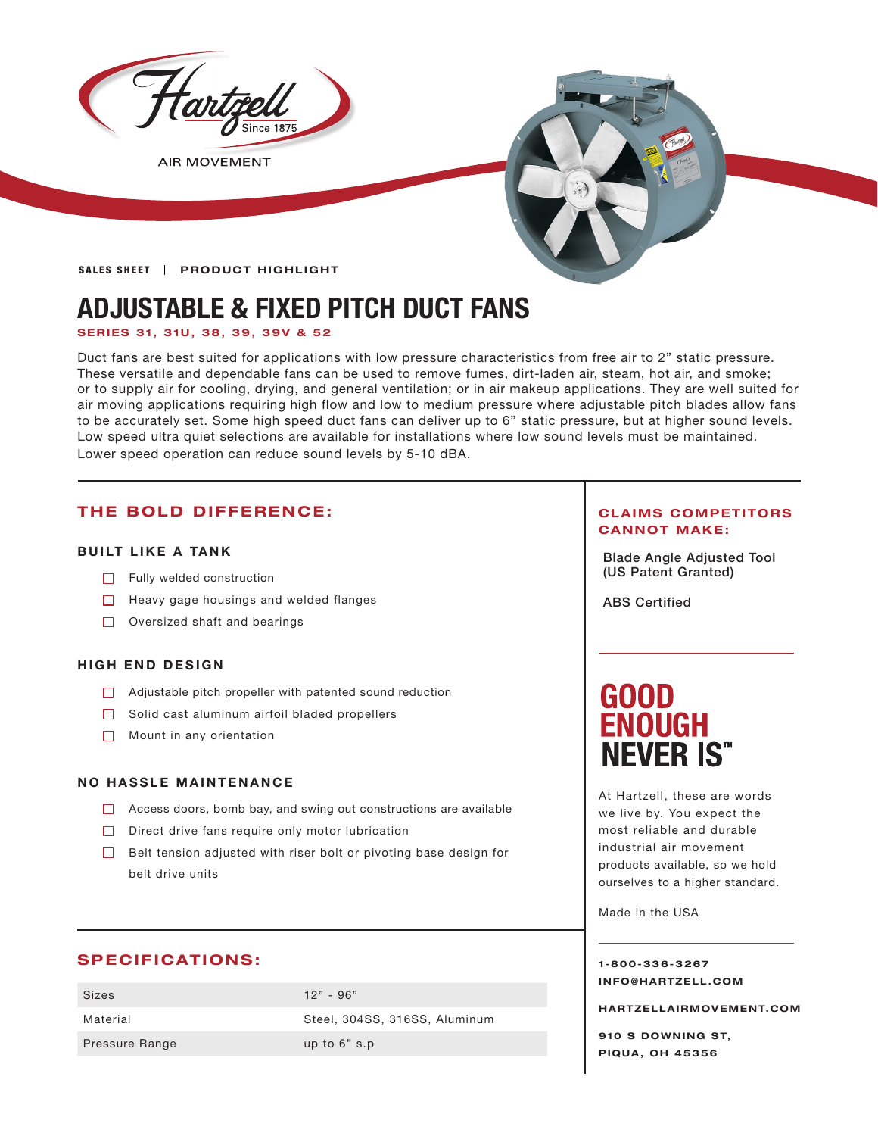

**AIR MOVEMENT** 



SALES SHEET | PRODUCT HIGHLIGHT

# **ADJUSTABLE & FIXED PITCH DUCT FANS**

### **SERIES 31, 31U, 38, 39, 39V & 52**

Duct fans are best suited for applications with low pressure characteristics from free air to 2" static pressure. These versatile and dependable fans can be used to remove fumes, dirt-laden air, steam, hot air, and smoke; or to supply air for cooling, drying, and general ventilation; or in air makeup applications. They are well suited for air moving applications requiring high flow and low to medium pressure where adjustable pitch blades allow fans to be accurately set. Some high speed duct fans can deliver up to 6" static pressure, but at higher sound levels. Low speed ultra quiet selections are available for installations where low sound levels must be maintained. Lower speed operation can reduce sound levels by 5-10 dBA.

# **THE BOLD DIFFERENCE:**

### **BUILT LIKE A TANK**

- $\Box$  Fully welded construction
- $\Box$  Heavy gage housings and welded flanges
- $\Box$  Oversized shaft and bearings

#### **HIGH END DESIGN**

- **Adjustable pitch propeller with patented sound reduction**
- $\Box$  Solid cast aluminum airfoil bladed propellers
- Mount in any orientation

#### **NO HASSLE MAINTENANCE**

- $\Box$  Access doors, bomb bay, and swing out constructions are available
- $\Box$  Direct drive fans require only motor lubrication
- $\Box$  Belt tension adjusted with riser bolt or pivoting base design for belt drive units

# **SPECIFICATIONS:**

| Sizes                 | $12" - 96"$                   |
|-----------------------|-------------------------------|
| Material              | Steel, 304SS, 316SS, Aluminum |
| <b>Pressure Range</b> | up to $6"$ s.p                |

#### **CLAIMS COMPETITORS CANNOT MAKE:**

Blade Angle Adjusted Tool (US Patent Granted)

ABS Certified

# **GOOD ENOUGH NEVER IS"**

At Hartzell, these are words we live by. You expect the most reliable and durable industrial air movement products available, so we hold ourselves to a higher standard.

Made in the USA

#### **1-800-336-3267 I N F O @ H A R T Z E L L . C OM**

**HARTZELLA IRMOVEMENT.COM**

**910 S DOWNING ST, PIQUA, OH 45356**